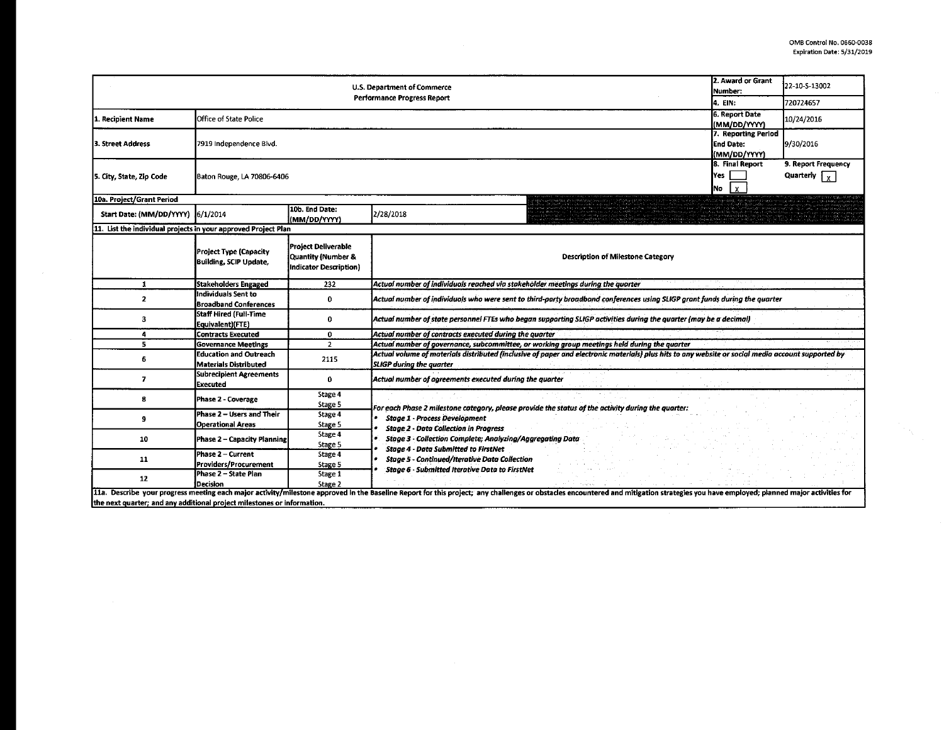|                                                                         | 2. Award or Grant<br>Number:                                   | 22-10-S-13002                                                       |                                                                                                                                                                                                                                |                                                  |           |  |  |  |
|-------------------------------------------------------------------------|----------------------------------------------------------------|---------------------------------------------------------------------|--------------------------------------------------------------------------------------------------------------------------------------------------------------------------------------------------------------------------------|--------------------------------------------------|-----------|--|--|--|
|                                                                         |                                                                |                                                                     | <b>Performance Progress Report</b>                                                                                                                                                                                             | 14. EIN:                                         | 720724657 |  |  |  |
| 1. Recipient Name                                                       | Office of State Police                                         | 6. Report Date<br>(MM/DD/YYYY)                                      | 10/24/2016                                                                                                                                                                                                                     |                                                  |           |  |  |  |
| 3. Street Address                                                       | 7919 Independence Blvd.                                        |                                                                     |                                                                                                                                                                                                                                | 7. Reporting Period<br>End Date:<br>(MM/DD/YYYY) | 9/30/2016 |  |  |  |
| 5. City, State, Zip Code                                                | Baton Rouge, LA 70806-6406                                     | 8. Final Report<br>Yes<br>iNo.                                      |                                                                                                                                                                                                                                |                                                  |           |  |  |  |
| 10a. Project/Grant Period                                               |                                                                |                                                                     |                                                                                                                                                                                                                                |                                                  |           |  |  |  |
| Start Date: (MM/DD/YYYY) 6/1/2014                                       |                                                                | 10b. End Date:<br>(MM/DD/YYYY)                                      | 2/28/2018                                                                                                                                                                                                                      |                                                  |           |  |  |  |
| 11. List the individual projects in your approved Project Plan          |                                                                |                                                                     |                                                                                                                                                                                                                                |                                                  |           |  |  |  |
|                                                                         | <b>Project Type (Capacity</b><br><b>Building, SCIP Update,</b> | Project Deliverable<br>Quantity (Number &<br>Indicator Description) | <b>Description of Milestone Category</b>                                                                                                                                                                                       |                                                  |           |  |  |  |
| $\mathbf{1}$                                                            | <b>Stakeholders Engaged</b>                                    | 232                                                                 | Actual number of individuals reached via stakeholder meetings during the quarter                                                                                                                                               |                                                  |           |  |  |  |
| $\overline{2}$                                                          | Individuals Sent to<br><b>Broadband Conferences</b>            | $\mathbf{0}$                                                        | Actual number of individuals who were sent to third-party broadband conferences using SLIGP grant funds during the quarter                                                                                                     |                                                  |           |  |  |  |
| з                                                                       | Staff Hired (Full-Time<br>Equivalent)(FTE)                     | 0                                                                   | Actual number of state personnel FTEs who began supporting SLIGP activities during the quarter (may be a decimal)                                                                                                              |                                                  |           |  |  |  |
| 4                                                                       | <b>Contracts Executed</b>                                      | 0                                                                   | Actual number of contracts executed during the quarter                                                                                                                                                                         |                                                  |           |  |  |  |
| 5                                                                       | <b>Governance Meetings</b>                                     | $\overline{2}$                                                      | Actual number of governance, subcommittee, or working group meetings held during the quarter                                                                                                                                   |                                                  |           |  |  |  |
| 6                                                                       | <b>Education and Outreach</b><br><b>Materials Distributed</b>  | 2115                                                                | Actual volume of materials distributed (inclusive of paper and electronic materials) plus hits to any website or social media account supported by<br><b>SLIGP</b> during the quarter                                          |                                                  |           |  |  |  |
| $\overline{ }$                                                          | <b>Subrecipient Agreements</b><br><b>Executed</b>              | 0                                                                   | Actual number of agreements executed during the quarter                                                                                                                                                                        |                                                  |           |  |  |  |
| 8                                                                       | <b>Phase 2 - Coverage</b>                                      | Stage 4<br>Stage 5                                                  | For each Phase 2 milestone category, please provide the status of the activity during the quarter:                                                                                                                             |                                                  |           |  |  |  |
| 9                                                                       | Phase 2 - Users and Their<br><b>Operational Areas</b>          | Stage 4<br>Stage 5                                                  | <b>Stage 1 - Process Development</b><br><b>Stage 2 - Data Collection in Progress</b>                                                                                                                                           |                                                  |           |  |  |  |
| 10                                                                      | Phase 2 - Capacity Planning                                    | Stage 4<br>Stage 5                                                  | <b>Stage 3 Collection Complete; Analyzing/Aggregating Data</b>                                                                                                                                                                 |                                                  |           |  |  |  |
| 11                                                                      | Phase 2 - Current<br>Providers/Procurement                     | Stage 4<br>Stage 5                                                  | <b>Stage 4 - Data Submitted to FirstNet</b><br><b>Stage 5 - Continued/Iterative Data Collection</b>                                                                                                                            |                                                  |           |  |  |  |
| 12                                                                      | Phase 2 - State Plan<br><b>Decision</b>                        | Stage 1<br>Stage 2                                                  | Stage 6 - Submitted Iterative Data to FirstNet                                                                                                                                                                                 |                                                  |           |  |  |  |
| the next quarter: and any additional project milestones or information. |                                                                |                                                                     | 11a. Describe your progress meeting each major activity/milestone approved in the Baseline Report for this project; any challenges or obstacles encountered and mitigation strategies you have employed; planned major activit |                                                  |           |  |  |  |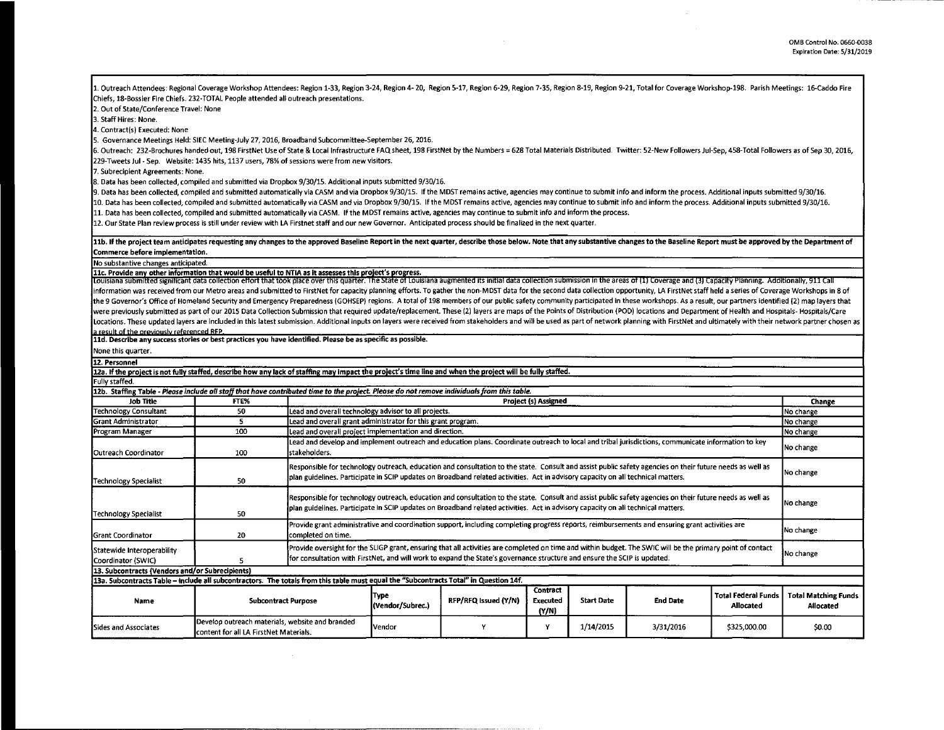1. Outreach Attendees: Regional Coverage Workshop Attendees: Region 1-33, Region 3-24, Region 4-20, Region 6-17, Region 6-29, Region 7-35, Region 8-19, Region 9-21, Total for Coverage Workshop-198. Parish Meetings: 16-Cadd Chiefs, 18-Bossier Fire Chiefs. 232-TOTAL People attended all outreach presentations.

2. Out of State/Conference Travel: None

3. Staff Hires: None.

4. Contract(s) Executed: None

5. Governance Meetings Held: SIEC Meeting-July 27, 2016, Broadband Subcommittee-September 26, 2016.

6. Outreach: 232-Brochures handed out, 198 FirstNet Use of State & Local Infrastructure FAQ sheet, 198 FirstNet by the Numbers = 628 Total Materials Distributed. Twitter: 52-New Followers Jul-Sep, 458-Total Followers as of 229-Tweets Jul - Sep. Website: 1435 hits, 1137 users, 78% of sessions were from new visitors.

7. Subrecipient Agreements: None.

8. Data has been collected, compiled and submitted via Dropbox 9/30/15. Additional inputs submitted 9/30/16.

9. Data has been collected, compiled and submitted automatically via CASM and via Dropbox 9/30/15. If the MOST remains active, agencies may continue to submit info and inform the process. Additional inputs submitted 9/30/16.

10. Data has been collected, compiled and submitted automatically via CASM and via Dropbox 9/30/15. If the MDST remains active, agencies may continue to submit info and inform the process. Additional inputs submitted 9/30/

11. Data has been collected, compiled and submitted automatically via CASM. If the MOST remains active, agencies may continue to submit info and inform the process.

12. Our State Plan review process is still under review with LA Firstnet staff and our new Governor. Anticipated process should be finalized in the next quarter.

## 11b. If the project team anticipates requesting any changes to the approved Baseline Report in the next quarter, describe those below. Note that any substantive changes to the Baseline Report must be approved by the Depart Commerce before implementation.

No substantive changes anticipated.

11c. Provide any other information that would be useful to NTIA as it assesses this project's progress.<br>Louisiana submitted significant data collection effort that took place over this quarter. The State of Louisiana augme information was received from our Metro areas and submitted to FirstNet for capacity planning efforts. To gather the non-MDST data for the second data collection opportunity, LA FirstNet staff held a series of Coverage Wor the 9 Governor's Office of Homeland Security and Emergency Preparedness (GOHSEP) regions. A total of 198 members of our public safety community participated in these workshops. As a result, our partners identified (2) map were previously submitted as part of our 2015 Data Collection Submission that required update/replacement. These (2) layers are maps of the Points of Distribution (POD) locations and Department of Health and Hospitals- Hos Locations. These updated layers are included in this latest submission. Additional inputs on layers were received from stakeholders and will be used as part of network planning with FirstNet and ultimately with their netwo a result of the previously referenced RFP.

11d. Describe any success stories or best practices you have identified. Please be as specific as possible.

None this quarter.

| 12. Personnel                                                                                                                                              |                                                                                                   |                                                                                                                                                                                                                                                                                        |                                                                                                                                                                                                                                                                                                           |                      |                               |                   |                 |                                         |                                                 |
|------------------------------------------------------------------------------------------------------------------------------------------------------------|---------------------------------------------------------------------------------------------------|----------------------------------------------------------------------------------------------------------------------------------------------------------------------------------------------------------------------------------------------------------------------------------------|-----------------------------------------------------------------------------------------------------------------------------------------------------------------------------------------------------------------------------------------------------------------------------------------------------------|----------------------|-------------------------------|-------------------|-----------------|-----------------------------------------|-------------------------------------------------|
| 12a. If the project is not fully staffed, describe how any lack of staffing may impact the project's time line and when the project will be fully staffed. |                                                                                                   |                                                                                                                                                                                                                                                                                        |                                                                                                                                                                                                                                                                                                           |                      |                               |                   |                 |                                         |                                                 |
| Fully staffed.                                                                                                                                             |                                                                                                   |                                                                                                                                                                                                                                                                                        |                                                                                                                                                                                                                                                                                                           |                      |                               |                   |                 |                                         |                                                 |
| 12b. Staffing Table - Please include all staff that have contributed time to the project. Please do not remove individuals from this table.                |                                                                                                   |                                                                                                                                                                                                                                                                                        |                                                                                                                                                                                                                                                                                                           |                      |                               |                   |                 |                                         |                                                 |
| <b>Job Title</b>                                                                                                                                           | FTE%                                                                                              |                                                                                                                                                                                                                                                                                        | <b>Project (s) Assigned</b>                                                                                                                                                                                                                                                                               |                      |                               |                   |                 |                                         |                                                 |
| <b>Technology Consultant</b>                                                                                                                               | 50                                                                                                |                                                                                                                                                                                                                                                                                        | Lead and overall technology advisor to all projects.                                                                                                                                                                                                                                                      |                      |                               |                   |                 |                                         | No change                                       |
| <b>Grant Administrator</b>                                                                                                                                 | 5                                                                                                 |                                                                                                                                                                                                                                                                                        | Lead and overall grant administrator for this grant program.                                                                                                                                                                                                                                              |                      |                               |                   |                 |                                         | No change                                       |
| Program Manager                                                                                                                                            | 100                                                                                               |                                                                                                                                                                                                                                                                                        | Lead and overall project implementation and direction.                                                                                                                                                                                                                                                    |                      |                               |                   |                 |                                         | No change                                       |
| Outreach Coordinator                                                                                                                                       | 100                                                                                               | stakeholders.                                                                                                                                                                                                                                                                          | Lead and develop and implement outreach and education plans. Coordinate outreach to local and tribal jurisdictions, communicate information to key                                                                                                                                                        |                      |                               |                   |                 |                                         | No change                                       |
| Technology Specialist                                                                                                                                      | 50                                                                                                |                                                                                                                                                                                                                                                                                        | Responsible for technology outreach, education and consultation to the state. Consult and assist public safety agencies on their future needs as well as<br>plan guidelines. Participate in SCIP updates on Broadband related activities. Act in advisory capacity on all technical matters.              |                      |                               |                   |                 |                                         | No change                                       |
| Technology Specialist                                                                                                                                      | 50                                                                                                |                                                                                                                                                                                                                                                                                        | Responsible for technology outreach, education and consultation to the state. Consult and assist public safety agencies on their future needs as well as<br>No change<br>plan guidelines. Participate in SCIP updates on Broadband related activities. Act in advisory capacity on all technical matters. |                      |                               |                   |                 |                                         |                                                 |
| <b>Grant Coordinator</b>                                                                                                                                   | 20                                                                                                | Provide grant administrative and coordination support, including completing progress reports, reimbursements and ensuring grant activities are<br>completed on time.                                                                                                                   |                                                                                                                                                                                                                                                                                                           |                      |                               |                   |                 |                                         | No change                                       |
| Statewide Interoperability<br>Coordinator (SWIC)                                                                                                           |                                                                                                   | Provide oversight for the SLIGP grant, ensuring that all activities are completed on time and within budget. The SWIC will be the primary point of contact<br>for consultation with FirstNet, and will work to expand the State's governance structure and ensure the SCIP is updated. |                                                                                                                                                                                                                                                                                                           |                      |                               |                   |                 |                                         | No change                                       |
| 13. Subcontracts (Vendors and/or Subrecipients)                                                                                                            |                                                                                                   |                                                                                                                                                                                                                                                                                        |                                                                                                                                                                                                                                                                                                           |                      |                               |                   |                 |                                         |                                                 |
| 13a. Subcontracts Table - include all subcontractors. The totals from this table must equal the "Subcontracts Total" in Question 14f.                      |                                                                                                   |                                                                                                                                                                                                                                                                                        |                                                                                                                                                                                                                                                                                                           |                      |                               |                   |                 |                                         |                                                 |
| Name                                                                                                                                                       | <b>Subcontract Purpose</b>                                                                        |                                                                                                                                                                                                                                                                                        | Type<br>(Vendor/Subrec.)                                                                                                                                                                                                                                                                                  | RFP/RFQ Issued (Y/N) | Contract<br>Executed<br>(Y/N) | <b>Start Date</b> | <b>End Date</b> | <b>Total Federal Funds</b><br>Allocated | <b>Total Matching Funds</b><br><b>Allocated</b> |
| <b>Sides and Associates</b>                                                                                                                                | Develop outreach materials, website and branded<br><b>Icontent for all LA FirstNet Materials.</b> |                                                                                                                                                                                                                                                                                        | Vendor                                                                                                                                                                                                                                                                                                    |                      | Y                             | 1/14/2015         | 3/31/2016       | \$325,000.00                            | \$0.00                                          |